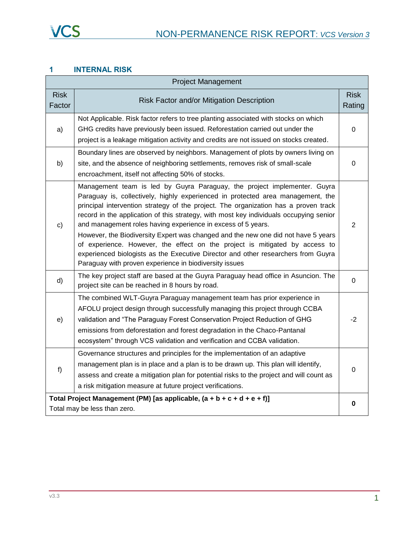### **1 INTERNAL RISK**

| <b>Project Management</b>                                                                                 |                                                                                                                                                                                                                                                                                                                                                                                                                                                                                                                                                                                                                                                                                                                                 |                       |
|-----------------------------------------------------------------------------------------------------------|---------------------------------------------------------------------------------------------------------------------------------------------------------------------------------------------------------------------------------------------------------------------------------------------------------------------------------------------------------------------------------------------------------------------------------------------------------------------------------------------------------------------------------------------------------------------------------------------------------------------------------------------------------------------------------------------------------------------------------|-----------------------|
| <b>Risk</b><br>Factor                                                                                     | Risk Factor and/or Mitigation Description                                                                                                                                                                                                                                                                                                                                                                                                                                                                                                                                                                                                                                                                                       | <b>Risk</b><br>Rating |
| a)                                                                                                        | Not Applicable. Risk factor refers to tree planting associated with stocks on which<br>GHG credits have previously been issued. Reforestation carried out under the<br>project is a leakage mitigation activity and credits are not issued on stocks created.                                                                                                                                                                                                                                                                                                                                                                                                                                                                   | $\mathbf 0$           |
| b)                                                                                                        | Boundary lines are observed by neighbors. Management of plots by owners living on<br>site, and the absence of neighboring settlements, removes risk of small-scale<br>encroachment, itself not affecting 50% of stocks.                                                                                                                                                                                                                                                                                                                                                                                                                                                                                                         | $\Omega$              |
| $\mathbf{c}$                                                                                              | Management team is led by Guyra Paraguay, the project implementer. Guyra<br>Paraguay is, collectively, highly experienced in protected area management, the<br>principal intervention strategy of the project. The organization has a proven track<br>record in the application of this strategy, with most key individuals occupying senior<br>and management roles having experience in excess of 5 years.<br>However, the Biodiversity Expert was changed and the new one did not have 5 years<br>of experience. However, the effect on the project is mitigated by access to<br>experienced biologists as the Executive Director and other researchers from Guyra<br>Paraguay with proven experience in biodiversity issues | $\overline{2}$        |
| d)                                                                                                        | The key project staff are based at the Guyra Paraguay head office in Asuncion. The<br>project site can be reached in 8 hours by road.                                                                                                                                                                                                                                                                                                                                                                                                                                                                                                                                                                                           | $\mathbf 0$           |
| e)                                                                                                        | The combined WLT-Guyra Paraguay management team has prior experience in<br>AFOLU project design through successfully managing this project through CCBA<br>validation and "The Paraguay Forest Conservation Project Reduction of GHG<br>emissions from deforestation and forest degradation in the Chaco-Pantanal<br>ecosystem" through VCS validation and verification and CCBA validation.                                                                                                                                                                                                                                                                                                                                    | -2                    |
| f)                                                                                                        | Governance structures and principles for the implementation of an adaptive<br>management plan is in place and a plan is to be drawn up. This plan will identify,<br>assess and create a mitigation plan for potential risks to the project and will count as<br>a risk mitigation measure at future project verifications.                                                                                                                                                                                                                                                                                                                                                                                                      | $\overline{0}$        |
| Total Project Management (PM) [as applicable, $(a + b + c + d + e + f)$ ]<br>Total may be less than zero. |                                                                                                                                                                                                                                                                                                                                                                                                                                                                                                                                                                                                                                                                                                                                 | $\mathbf 0$           |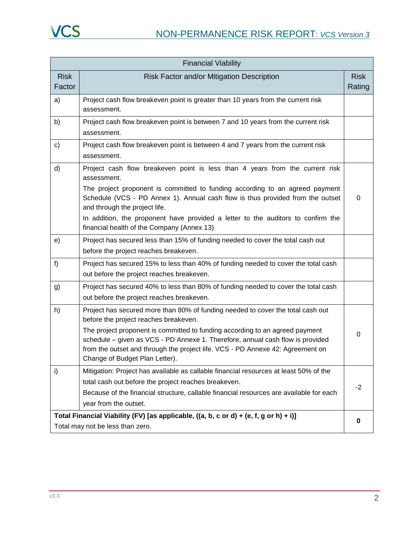| <b>Financial Viability</b> |                                                                                                                                                                                                                                                                                                                                                                                                                                  |                       |
|----------------------------|----------------------------------------------------------------------------------------------------------------------------------------------------------------------------------------------------------------------------------------------------------------------------------------------------------------------------------------------------------------------------------------------------------------------------------|-----------------------|
| <b>Risk</b><br>Factor      | Risk Factor and/or Mitigation Description                                                                                                                                                                                                                                                                                                                                                                                        | <b>Risk</b><br>Rating |
| a)                         | Project cash flow breakeven point is greater than 10 years from the current risk<br>assessment.                                                                                                                                                                                                                                                                                                                                  |                       |
| b)                         | Project cash flow breakeven point is between 7 and 10 years from the current risk<br>assessment.                                                                                                                                                                                                                                                                                                                                 |                       |
| $\mathsf{c})$              | Project cash flow breakeven point is between 4 and 7 years from the current risk<br>assessment.                                                                                                                                                                                                                                                                                                                                  |                       |
| d)                         | Project cash flow breakeven point is less than 4 years from the current risk<br>assessment.<br>The project proponent is committed to funding according to an agreed payment<br>Schedule (VCS - PD Annex 1). Annual cash flow is thus provided from the outset<br>and through the project life.<br>In addition, the proponent have provided a letter to the auditors to confirm the<br>financial health of the Company (Annex 13) | 0                     |
| e)                         | Project has secured less than 15% of funding needed to cover the total cash out<br>before the project reaches breakeven.                                                                                                                                                                                                                                                                                                         |                       |
| f)                         | Project has secured 15% to less than 40% of funding needed to cover the total cash<br>out before the project reaches breakeven.                                                                                                                                                                                                                                                                                                  |                       |
| g)                         | Project has secured 40% to less than 80% of funding needed to cover the total cash<br>out before the project reaches breakeven.                                                                                                                                                                                                                                                                                                  |                       |
| h)                         | Project has secured more than 80% of funding needed to cover the total cash out<br>before the project reaches breakeven.<br>The project proponent is committed to funding according to an agreed payment<br>schedule - given as VCS - PD Annexe 1. Therefore, annual cash flow is provided<br>from the outset and through the project life. VCS - PD Annexe 42: Agreement on<br>Change of Budget Plan Letter).                   | 0                     |
| i)                         | Mitigation: Project has available as callable financial resources at least 50% of the<br>total cash out before the project reaches breakeven.<br>Because of the financial structure, callable financial resources are available for each<br>year from the outset.                                                                                                                                                                | $-2$                  |
|                            | Total Financial Viability (FV) [as applicable, ((a, b, c or d) + (e, f, g or h) + i)]<br>Total may not be less than zero.                                                                                                                                                                                                                                                                                                        |                       |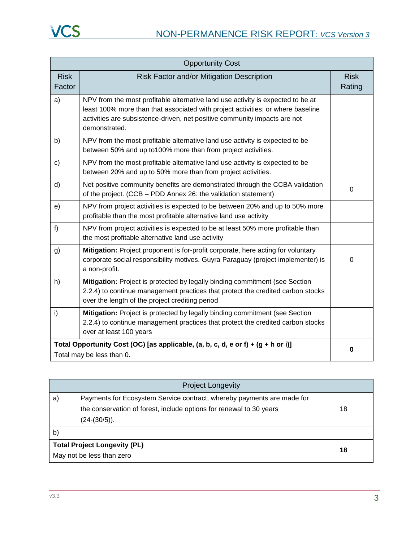| <b>Opportunity Cost</b>                                                                                         |                                                                                                                                                                                                                                                                  |                       |
|-----------------------------------------------------------------------------------------------------------------|------------------------------------------------------------------------------------------------------------------------------------------------------------------------------------------------------------------------------------------------------------------|-----------------------|
| <b>Risk</b><br>Factor                                                                                           | Risk Factor and/or Mitigation Description                                                                                                                                                                                                                        | <b>Risk</b><br>Rating |
| a)                                                                                                              | NPV from the most profitable alternative land use activity is expected to be at<br>least 100% more than that associated with project activities; or where baseline<br>activities are subsistence-driven, net positive community impacts are not<br>demonstrated. |                       |
| b)                                                                                                              | NPV from the most profitable alternative land use activity is expected to be<br>between 50% and up to100% more than from project activities.                                                                                                                     |                       |
| $\mathsf{c})$                                                                                                   | NPV from the most profitable alternative land use activity is expected to be<br>between 20% and up to 50% more than from project activities.                                                                                                                     |                       |
| d)                                                                                                              | Net positive community benefits are demonstrated through the CCBA validation<br>of the project. (CCB - PDD Annex 26: the validation statement)                                                                                                                   | $\Omega$              |
| e)                                                                                                              | NPV from project activities is expected to be between 20% and up to 50% more<br>profitable than the most profitable alternative land use activity                                                                                                                |                       |
| f)                                                                                                              | NPV from project activities is expected to be at least 50% more profitable than<br>the most profitable alternative land use activity                                                                                                                             |                       |
| g)                                                                                                              | Mitigation: Project proponent is for-profit corporate, here acting for voluntary<br>corporate social responsibility motives. Guyra Paraguay (project implementer) is<br>a non-profit.                                                                            | $\Omega$              |
| h)                                                                                                              | Mitigation: Project is protected by legally binding commitment (see Section<br>2.2.4) to continue management practices that protect the credited carbon stocks<br>over the length of the project crediting period                                                |                       |
| i)                                                                                                              | Mitigation: Project is protected by legally binding commitment (see Section<br>2.2.4) to continue management practices that protect the credited carbon stocks<br>over at least 100 years                                                                        |                       |
| Total Opportunity Cost (OC) [as applicable, (a, b, c, d, e or f) + $(g + h$ or i)]<br>Total may be less than 0. |                                                                                                                                                                                                                                                                  | $\bf{0}$              |

|    | <b>Project Longevity</b>                                               |    |  |
|----|------------------------------------------------------------------------|----|--|
| a) | Payments for Ecosystem Service contract, whereby payments are made for |    |  |
|    | the conservation of forest, include options for renewal to 30 years    | 18 |  |
|    | $(24-(30/5))$ .                                                        |    |  |
| b) |                                                                        |    |  |
|    | <b>Total Project Longevity (PL)</b>                                    |    |  |
|    | 18<br>May not be less than zero                                        |    |  |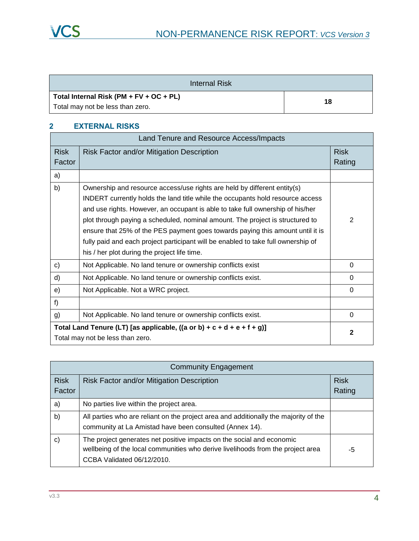| Internal Risk                           |    |
|-----------------------------------------|----|
| Total Internal Risk (PM + FV + OC + PL) |    |
| Total may not be less than zero.        | 18 |

## **2 EXTERNAL RISKS**

|                                                                                                            | Land Tenure and Resource Access/Impacts                                                                                                                                                                                                                                                                                                                                                                                                                                                                                                              |          |
|------------------------------------------------------------------------------------------------------------|------------------------------------------------------------------------------------------------------------------------------------------------------------------------------------------------------------------------------------------------------------------------------------------------------------------------------------------------------------------------------------------------------------------------------------------------------------------------------------------------------------------------------------------------------|----------|
| <b>Risk</b><br>Factor                                                                                      | Risk Factor and/or Mitigation Description                                                                                                                                                                                                                                                                                                                                                                                                                                                                                                            |          |
| a)                                                                                                         |                                                                                                                                                                                                                                                                                                                                                                                                                                                                                                                                                      |          |
| b)                                                                                                         | Ownership and resource access/use rights are held by different entity(s)<br>INDERT currently holds the land title while the occupants hold resource access<br>and use rights. However, an occupant is able to take full ownership of his/her<br>plot through paying a scheduled, nominal amount. The project is structured to<br>ensure that 25% of the PES payment goes towards paying this amount until it is<br>fully paid and each project participant will be enabled to take full ownership of<br>his / her plot during the project life time. | 2        |
| $\mathbf{C}$                                                                                               | Not Applicable. No land tenure or ownership conflicts exist                                                                                                                                                                                                                                                                                                                                                                                                                                                                                          | $\Omega$ |
| d)                                                                                                         | Not Applicable. No land tenure or ownership conflicts exist.                                                                                                                                                                                                                                                                                                                                                                                                                                                                                         | $\Omega$ |
| e)                                                                                                         | Not Applicable. Not a WRC project.                                                                                                                                                                                                                                                                                                                                                                                                                                                                                                                   | 0        |
| f)                                                                                                         |                                                                                                                                                                                                                                                                                                                                                                                                                                                                                                                                                      |          |
| g)                                                                                                         | Not Applicable. No land tenure or ownership conflicts exist.                                                                                                                                                                                                                                                                                                                                                                                                                                                                                         | $\Omega$ |
| Total Land Tenure (LT) [as applicable, ((a or b) + c + d + e + f + g)]<br>Total may not be less than zero. |                                                                                                                                                                                                                                                                                                                                                                                                                                                                                                                                                      | 2        |

|                       | <b>Community Engagement</b>                                                                                                                                                            |                       |
|-----------------------|----------------------------------------------------------------------------------------------------------------------------------------------------------------------------------------|-----------------------|
| <b>Risk</b><br>Factor | Risk Factor and/or Mitigation Description                                                                                                                                              | <b>Risk</b><br>Rating |
| a)                    | No parties live within the project area.                                                                                                                                               |                       |
| b)                    | All parties who are reliant on the project area and additionally the majority of the<br>community at La Amistad have been consulted (Annex 14).                                        |                       |
| $\mathsf{c})$         | The project generates net positive impacts on the social and economic<br>wellbeing of the local communities who derive livelihoods from the project area<br>CCBA Validated 06/12/2010. | -5                    |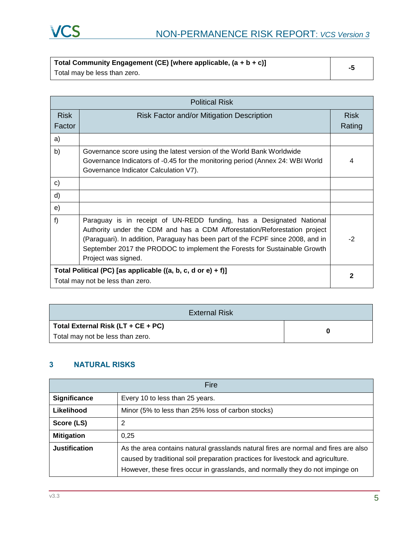

| Total Community Engagement (CE) [where applicable, $(a + b + c)$ ] |  |
|--------------------------------------------------------------------|--|
| Total may be less than zero.                                       |  |

| <b>Political Risk</b>                                        |                                                                                                                                                                                                                                                                                                                                          |                       |
|--------------------------------------------------------------|------------------------------------------------------------------------------------------------------------------------------------------------------------------------------------------------------------------------------------------------------------------------------------------------------------------------------------------|-----------------------|
| <b>Risk</b><br>Factor                                        | Risk Factor and/or Mitigation Description                                                                                                                                                                                                                                                                                                | <b>Risk</b><br>Rating |
| a)                                                           |                                                                                                                                                                                                                                                                                                                                          |                       |
| b)                                                           | Governance score using the latest version of the World Bank Worldwide<br>Governance Indicators of -0.45 for the monitoring period (Annex 24: WBI World<br>Governance Indicator Calculation V7).                                                                                                                                          | 4                     |
| c)                                                           |                                                                                                                                                                                                                                                                                                                                          |                       |
| d)                                                           |                                                                                                                                                                                                                                                                                                                                          |                       |
| e)                                                           |                                                                                                                                                                                                                                                                                                                                          |                       |
| f)                                                           | Paraguay is in receipt of UN-REDD funding, has a Designated National<br>Authority under the CDM and has a CDM Afforestation/Reforestation project<br>(Paraguari). In addition, Paraguay has been part of the FCPF since 2008, and in<br>September 2017 the PRODOC to implement the Forests for Sustainable Growth<br>Project was signed. | $-2$                  |
| Total Political (PC) [as applicable ((a, b, c, d or e) + f)] |                                                                                                                                                                                                                                                                                                                                          | 2                     |
| Total may not be less than zero.                             |                                                                                                                                                                                                                                                                                                                                          |                       |

| External Risk                          |  |
|----------------------------------------|--|
| Total External Risk ( $LT + CE + PC$ ) |  |
| Total may not be less than zero.       |  |

### **3 NATURAL RISKS**

| Fire                 |                                                                                                                                                                                                                                                         |
|----------------------|---------------------------------------------------------------------------------------------------------------------------------------------------------------------------------------------------------------------------------------------------------|
| Significance         | Every 10 to less than 25 years.                                                                                                                                                                                                                         |
| Likelihood           | Minor (5% to less than 25% loss of carbon stocks)                                                                                                                                                                                                       |
| Score (LS)           | 2                                                                                                                                                                                                                                                       |
| <b>Mitigation</b>    | 0.25                                                                                                                                                                                                                                                    |
| <b>Justification</b> | As the area contains natural grasslands natural fires are normal and fires are also<br>caused by traditional soil preparation practices for livestock and agriculture.<br>However, these fires occur in grasslands, and normally they do not impinge on |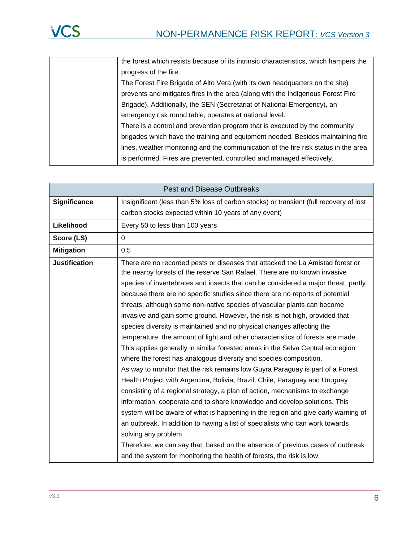| the forest which resists because of its intrinsic characteristics, which hampers the |
|--------------------------------------------------------------------------------------|
| progress of the fire.                                                                |
| The Forest Fire Brigade of Alto Vera (with its own headquarters on the site)         |
| prevents and mitigates fires in the area (along with the Indigenous Forest Fire      |
| Brigade). Additionally, the SEN (Secretariat of National Emergency), an              |
| emergency risk round table, operates at national level.                              |
| There is a control and prevention program that is executed by the community          |
| brigades which have the training and equipment needed. Besides maintaining fire      |
| lines, weather monitoring and the communication of the fire risk status in the area  |
| is performed. Fires are prevented, controlled and managed effectively.               |

| <b>Pest and Disease Outbreaks</b> |                                                                                                                                                                                                                                                                                                                                                                                                                                                                                                                                                                                                                                                                                                                                                                                                                                                                                                                                                                                                                                                                                                                                                                                                                                                                                                                                                                                                                                                                                                        |  |  |  |  |  |
|-----------------------------------|--------------------------------------------------------------------------------------------------------------------------------------------------------------------------------------------------------------------------------------------------------------------------------------------------------------------------------------------------------------------------------------------------------------------------------------------------------------------------------------------------------------------------------------------------------------------------------------------------------------------------------------------------------------------------------------------------------------------------------------------------------------------------------------------------------------------------------------------------------------------------------------------------------------------------------------------------------------------------------------------------------------------------------------------------------------------------------------------------------------------------------------------------------------------------------------------------------------------------------------------------------------------------------------------------------------------------------------------------------------------------------------------------------------------------------------------------------------------------------------------------------|--|--|--|--|--|
| <b>Significance</b>               | Insignificant (less than 5% loss of carbon stocks) or transient (full recovery of lost                                                                                                                                                                                                                                                                                                                                                                                                                                                                                                                                                                                                                                                                                                                                                                                                                                                                                                                                                                                                                                                                                                                                                                                                                                                                                                                                                                                                                 |  |  |  |  |  |
|                                   | carbon stocks expected within 10 years of any event)                                                                                                                                                                                                                                                                                                                                                                                                                                                                                                                                                                                                                                                                                                                                                                                                                                                                                                                                                                                                                                                                                                                                                                                                                                                                                                                                                                                                                                                   |  |  |  |  |  |
| Likelihood                        | Every 50 to less than 100 years                                                                                                                                                                                                                                                                                                                                                                                                                                                                                                                                                                                                                                                                                                                                                                                                                                                                                                                                                                                                                                                                                                                                                                                                                                                                                                                                                                                                                                                                        |  |  |  |  |  |
| Score (LS)                        | 0                                                                                                                                                                                                                                                                                                                                                                                                                                                                                                                                                                                                                                                                                                                                                                                                                                                                                                                                                                                                                                                                                                                                                                                                                                                                                                                                                                                                                                                                                                      |  |  |  |  |  |
| <b>Mitigation</b>                 | 0,5                                                                                                                                                                                                                                                                                                                                                                                                                                                                                                                                                                                                                                                                                                                                                                                                                                                                                                                                                                                                                                                                                                                                                                                                                                                                                                                                                                                                                                                                                                    |  |  |  |  |  |
| <b>Justification</b>              | There are no recorded pests or diseases that attacked the La Amistad forest or<br>the nearby forests of the reserve San Rafael. There are no known invasive<br>species of invertebrates and insects that can be considered a major threat, partly<br>because there are no specific studies since there are no reports of potential<br>threats; although some non-native species of vascular plants can become<br>invasive and gain some ground. However, the risk is not high, provided that<br>species diversity is maintained and no physical changes affecting the<br>temperature, the amount of light and other characteristics of forests are made.<br>This applies generally in similar forested areas in the Selva Central ecoregion<br>where the forest has analogous diversity and species composition.<br>As way to monitor that the risk remains low Guyra Paraguay is part of a Forest<br>Health Project with Argentina, Bolivia, Brazil, Chile, Paraguay and Uruguay<br>consisting of a regional strategy, a plan of action, mechanisms to exchange<br>information, cooperate and to share knowledge and develop solutions. This<br>system will be aware of what is happening in the region and give early warning of<br>an outbreak. In addition to having a list of specialists who can work towards<br>solving any problem.<br>Therefore, we can say that, based on the absence of previous cases of outbreak<br>and the system for monitoring the health of forests, the risk is low. |  |  |  |  |  |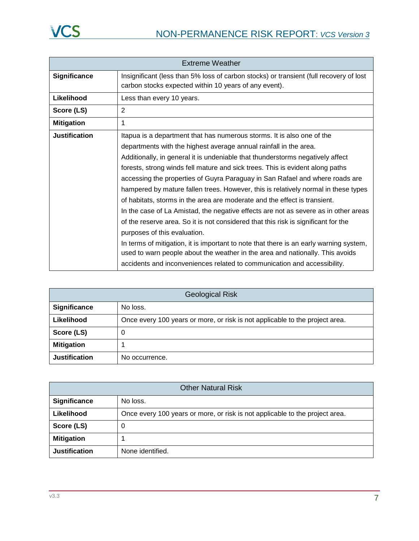| <b>Extreme Weather</b> |                                                                                                                                                                         |  |  |  |  |  |  |
|------------------------|-------------------------------------------------------------------------------------------------------------------------------------------------------------------------|--|--|--|--|--|--|
| <b>Significance</b>    | Insignificant (less than 5% loss of carbon stocks) or transient (full recovery of lost<br>carbon stocks expected within 10 years of any event).                         |  |  |  |  |  |  |
| Likelihood             | Less than every 10 years.                                                                                                                                               |  |  |  |  |  |  |
| Score (LS)             | 2                                                                                                                                                                       |  |  |  |  |  |  |
| <b>Mitigation</b>      | 1                                                                                                                                                                       |  |  |  |  |  |  |
| Justification          | Itapua is a department that has numerous storms. It is also one of the                                                                                                  |  |  |  |  |  |  |
|                        | departments with the highest average annual rainfall in the area.                                                                                                       |  |  |  |  |  |  |
|                        | Additionally, in general it is undeniable that thunderstorms negatively affect                                                                                          |  |  |  |  |  |  |
|                        | forests, strong winds fell mature and sick trees. This is evident along paths                                                                                           |  |  |  |  |  |  |
|                        | accessing the properties of Guyra Paraguay in San Rafael and where roads are                                                                                            |  |  |  |  |  |  |
|                        | hampered by mature fallen trees. However, this is relatively normal in these types                                                                                      |  |  |  |  |  |  |
|                        | of habitats, storms in the area are moderate and the effect is transient.                                                                                               |  |  |  |  |  |  |
|                        | In the case of La Amistad, the negative effects are not as severe as in other areas                                                                                     |  |  |  |  |  |  |
|                        | of the reserve area. So it is not considered that this risk is significant for the                                                                                      |  |  |  |  |  |  |
|                        | purposes of this evaluation.                                                                                                                                            |  |  |  |  |  |  |
|                        | In terms of mitigation, it is important to note that there is an early warning system,<br>used to warn people about the weather in the area and nationally. This avoids |  |  |  |  |  |  |
|                        | accidents and inconveniences related to communication and accessibility.                                                                                                |  |  |  |  |  |  |

| <b>Geological Risk</b> |                                                                              |  |  |
|------------------------|------------------------------------------------------------------------------|--|--|
| Significance           | No loss.                                                                     |  |  |
| Likelihood             | Once every 100 years or more, or risk is not applicable to the project area. |  |  |
| Score (LS)             | 0                                                                            |  |  |
| <b>Mitigation</b>      |                                                                              |  |  |
| <b>Justification</b>   | No occurrence.                                                               |  |  |

| <b>Other Natural Risk</b> |                                                                              |  |  |
|---------------------------|------------------------------------------------------------------------------|--|--|
| Significance              | No loss.                                                                     |  |  |
| Likelihood                | Once every 100 years or more, or risk is not applicable to the project area. |  |  |
| Score (LS)                | 0                                                                            |  |  |
| <b>Mitigation</b>         |                                                                              |  |  |
| <b>Justification</b>      | None identified.                                                             |  |  |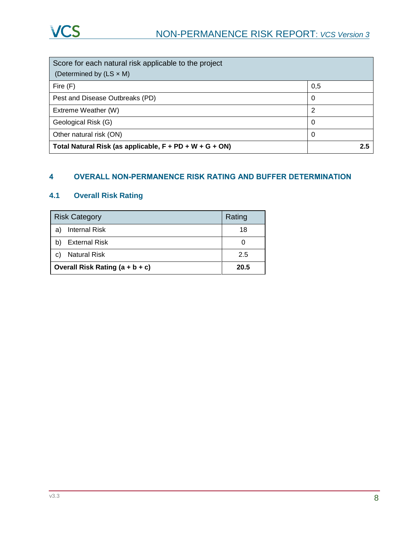| Score for each natural risk applicable to the project      |     |
|------------------------------------------------------------|-----|
| (Determined by $(LS \times M)$ )                           |     |
| Fire $(F)$                                                 | 0,5 |
| Pest and Disease Outbreaks (PD)                            | 0   |
| Extreme Weather (W)                                        | 2   |
| Geological Risk (G)                                        | 0   |
| Other natural risk (ON)                                    | 0   |
| Total Natural Risk (as applicable, $F + PD + W + G + ON$ ) | 2.5 |

#### **4 OVERALL NON-PERMANENCE RISK RATING AND BUFFER DETERMINATION**

### **4.1 Overall Risk Rating**

| <b>Risk Category</b>            | Rating               |    |  |  |
|---------------------------------|----------------------|----|--|--|
| a                               | <b>Internal Risk</b> | 18 |  |  |
|                                 | <b>External Risk</b> |    |  |  |
| С                               | <b>Natural Risk</b>  |    |  |  |
| Overall Risk Rating (a + b + c) | 20.5                 |    |  |  |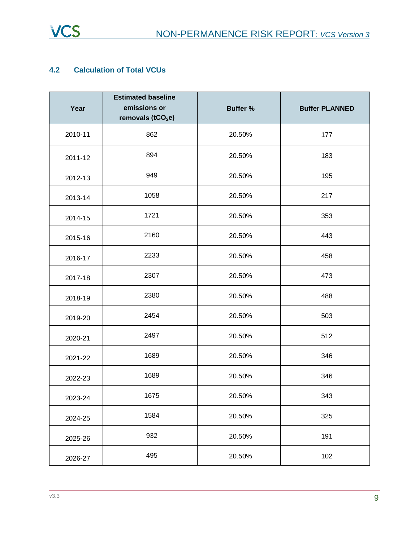

#### **4.2 Calculation of Total VCUs**

| Year    | <b>Estimated baseline</b><br>emissions or<br>removals (tCO <sub>2</sub> e) | <b>Buffer %</b> | <b>Buffer PLANNED</b> |  |
|---------|----------------------------------------------------------------------------|-----------------|-----------------------|--|
| 2010-11 | 862                                                                        | 20.50%          | 177                   |  |
| 2011-12 | 894                                                                        | 20.50%          | 183                   |  |
| 2012-13 | 949                                                                        | 20.50%          | 195                   |  |
| 2013-14 | 1058                                                                       | 20.50%          | 217                   |  |
| 2014-15 | 1721                                                                       | 20.50%          | 353                   |  |
| 2015-16 | 2160                                                                       | 20.50%          | 443                   |  |
| 2016-17 | 2233                                                                       | 20.50%          | 458                   |  |
| 2017-18 | 2307                                                                       | 20.50%          | 473                   |  |
| 2018-19 | 2380                                                                       | 20.50%          | 488                   |  |
| 2019-20 | 2454                                                                       | 20.50%          | 503                   |  |
| 2020-21 | 2497                                                                       | 20.50%          | 512                   |  |
| 2021-22 | 1689                                                                       | 20.50%          | 346                   |  |
| 2022-23 | 1689                                                                       | 20.50%          | 346                   |  |
| 2023-24 | 1675                                                                       | 20.50%          | 343                   |  |
| 2024-25 | 1584                                                                       | 20.50%          | 325                   |  |
| 2025-26 | 932                                                                        | 20.50%          | 191                   |  |
| 2026-27 | 495                                                                        | 20.50%          | 102                   |  |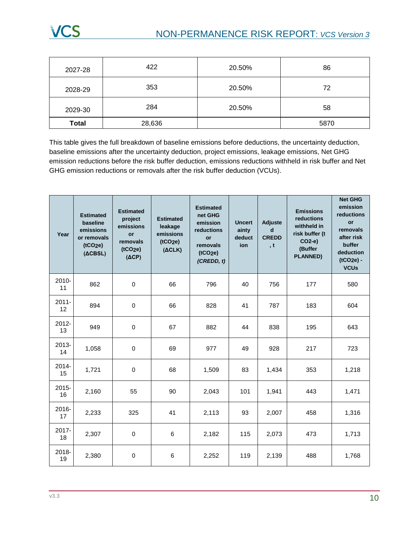# NON-PERMANENCE RISK REPORT: *VCS Version 3*

| 2027-28        | 422    | 20.50% | 86   |  |
|----------------|--------|--------|------|--|
| 2028-29        | 353    | 20.50% | 72   |  |
| 284<br>2029-30 |        | 20.50% | 58   |  |
| <b>Total</b>   | 28,636 |        | 5870 |  |

This table gives the full breakdown of baseline emissions before deductions, the uncertainty deduction, baseline emissions after the uncertainty deduction, project emissions, leakage emissions, Net GHG emission reductions before the risk buffer deduction, emissions reductions withheld in risk buffer and Net GHG emission reductions or removals after the risk buffer deduction (VCUs).

| Year           | <b>Estimated</b><br>baseline<br>emissions<br>or removals<br>(tCO <sub>2</sub> e)<br>(ACBSL) | <b>Estimated</b><br>project<br>emissions<br>or<br>removals<br>(tCO <sub>2</sub> e)<br>$(\Delta CP)$ | <b>Estimated</b><br>leakage<br>emissions<br>(tCO <sub>2</sub> e)<br>(ACLK) | <b>Estimated</b><br>net GHG<br>emission<br>reductions<br><b>or</b><br>removals<br>(tCO <sub>2</sub> e)<br>(CREDD, t) | <b>Uncert</b><br>ainty<br>deduct<br>ion | Adjuste<br>d<br><b>CREDD</b><br>, t | <b>Emissions</b><br>reductions<br>withheld in<br>risk buffer (t<br>CO2-e)<br>(Buffer<br><b>PLANNED)</b> | <b>Net GHG</b><br>emission<br>reductions<br><b>or</b><br>removals<br>after risk<br>buffer<br>deduction<br>(tCO <sub>2e</sub> ) -<br><b>VCUs</b> |
|----------------|---------------------------------------------------------------------------------------------|-----------------------------------------------------------------------------------------------------|----------------------------------------------------------------------------|----------------------------------------------------------------------------------------------------------------------|-----------------------------------------|-------------------------------------|---------------------------------------------------------------------------------------------------------|-------------------------------------------------------------------------------------------------------------------------------------------------|
| 2010-<br>11    | 862                                                                                         | $\mathbf 0$                                                                                         | 66                                                                         | 796                                                                                                                  | 40                                      | 756                                 | 177                                                                                                     | 580                                                                                                                                             |
| $2011 -$<br>12 | 894                                                                                         | $\mathbf 0$                                                                                         | 66                                                                         | 828                                                                                                                  | 41                                      | 787                                 | 183                                                                                                     | 604                                                                                                                                             |
| $2012 -$<br>13 | 949                                                                                         | $\mathbf 0$                                                                                         | 67                                                                         | 882                                                                                                                  | 44                                      | 838                                 | 195                                                                                                     | 643                                                                                                                                             |
| 2013-<br>14    | 1,058                                                                                       | $\mathbf 0$                                                                                         | 69                                                                         | 977                                                                                                                  | 49                                      | 928                                 | 217                                                                                                     | 723                                                                                                                                             |
| 2014-<br>15    | 1,721                                                                                       | $\pmb{0}$                                                                                           | 68                                                                         | 1,509                                                                                                                | 83                                      | 1,434                               | 353                                                                                                     | 1,218                                                                                                                                           |
| $2015 -$<br>16 | 2,160                                                                                       | 55                                                                                                  | 90                                                                         | 2,043                                                                                                                | 101                                     | 1,941                               | 443                                                                                                     | 1,471                                                                                                                                           |
| $2016 -$<br>17 | 2,233                                                                                       | 325                                                                                                 | 41                                                                         | 2,113                                                                                                                | 93                                      | 2,007                               | 458                                                                                                     | 1,316                                                                                                                                           |
| 2017-<br>18    | 2,307                                                                                       | $\mathbf 0$                                                                                         | 6                                                                          | 2,182                                                                                                                | 115                                     | 2,073                               | 473                                                                                                     | 1,713                                                                                                                                           |
| 2018-<br>19    | 2,380                                                                                       | $\mathbf 0$                                                                                         | 6                                                                          | 2,252                                                                                                                | 119                                     | 2,139                               | 488                                                                                                     | 1,768                                                                                                                                           |